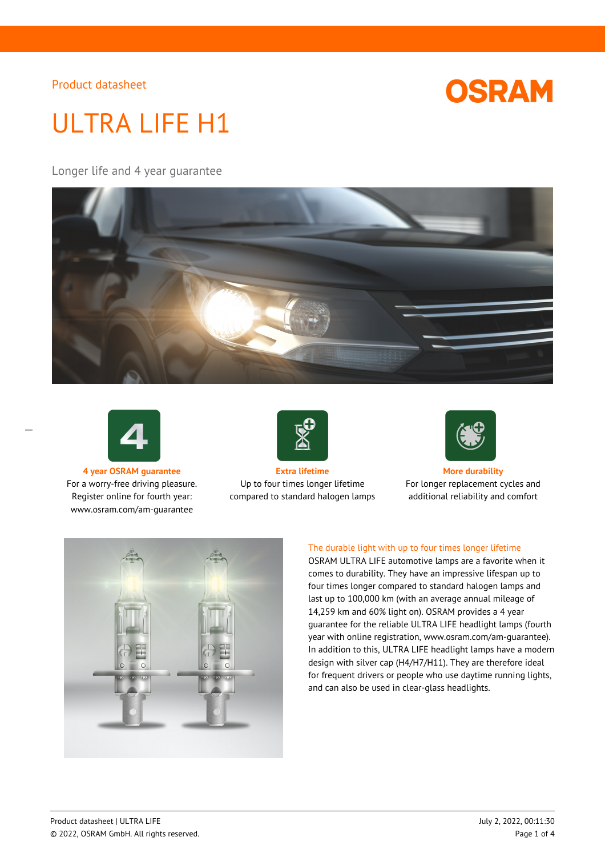

# ULTRA LIFE H1

Longer life and 4 year guarantee





 $\overline{a}$ 

For a worry-free driving pleasure. Register online for fourth year:

www.osram.com/am-guarantee



**4 year OSRAM guarantee Extra lifetime More durability** Up to four times longer lifetime compared to standard halogen lamps



For longer replacement cycles and additional reliability and comfort



### The durable light with up to four times longer lifetime

OSRAM ULTRA LIFE automotive lamps are a favorite when it comes to durability. They have an impressive lifespan up to four times longer compared to standard halogen lamps and last up to 100,000 km (with an average annual mileage of 14,259 km and 60% light on). OSRAM provides a 4 year guarantee for the reliable ULTRA LIFE headlight lamps (fourth year with online registration, www.osram.com/am-guarantee). In addition to this, ULTRA LIFE headlight lamps have a modern design with silver cap (H4/H7/H11). They are therefore ideal for frequent drivers or people who use daytime running lights, and can also be used in clear-glass headlights.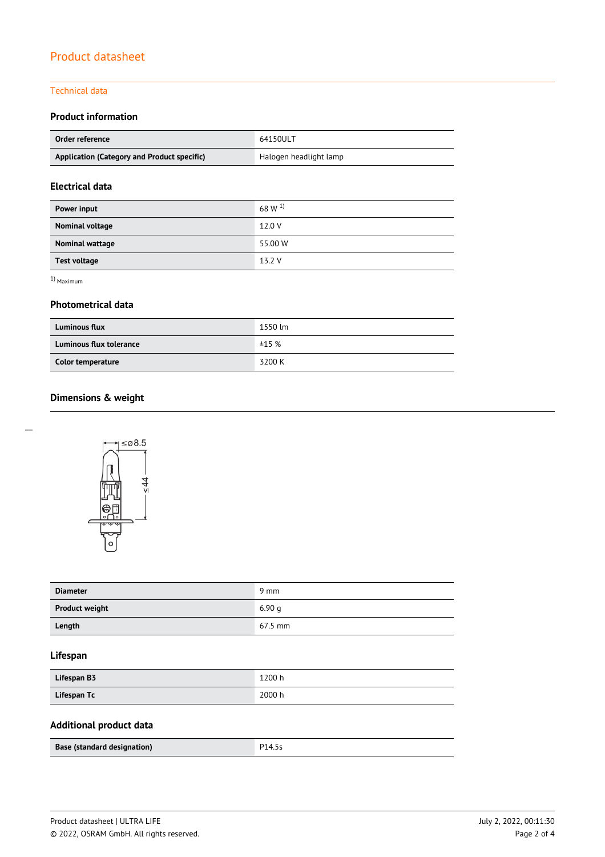#### Technical data

## **Product information**

| Order reference                             | 64150ULT               |
|---------------------------------------------|------------------------|
| Application (Category and Product specific) | Halogen headlight lamp |

## **Electrical data**

| Power input         | 68 W $^{1)}$ |
|---------------------|--------------|
| Nominal voltage     | 12.0 V       |
| Nominal wattage     | 55.00 W      |
| <b>Test voltage</b> | 13.2 V       |

1) Maximum

### **Photometrical data**

| <b>Luminous flux</b>           | 1550 lm |
|--------------------------------|---------|
| <b>Luminous flux tolerance</b> | ±15%    |
| Color temperature              | 3200 K  |

# **Dimensions & weight**



| <b>Diameter</b>       | 9 mm      |
|-----------------------|-----------|
| <b>Product weight</b> | 6.90q     |
| Length                | $67.5$ mm |

## **Lifespan**

| Lifespan B3 | 1200 h |
|-------------|--------|
| Lifespan Tc | 2000 h |

# **Additional product data**

| Base (standard designation) | P14.5s |
|-----------------------------|--------|

 $\overline{a}$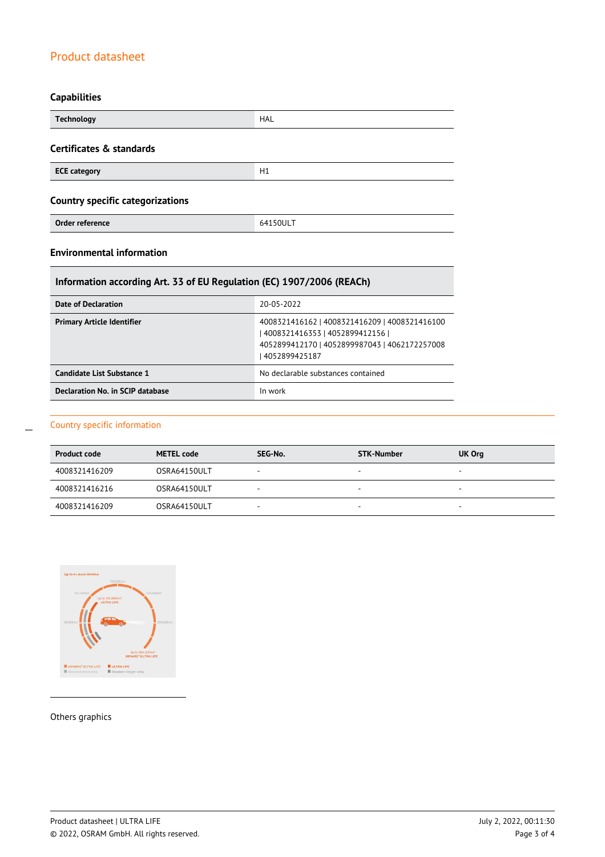# **Capabilities**

| <b>Technology</b>                       | HAL      |
|-----------------------------------------|----------|
| <b>Certificates &amp; standards</b>     |          |
| <b>ECE category</b>                     | H1       |
| <b>Country specific categorizations</b> |          |
| Order reference                         | 64150ULT |

## **Environmental information**

# **Information according Art. 33 of EU Regulation (EC) 1907/2006 (REACh)**

| Date of Declaration               | 20-05-2022                                                                                                                                           |
|-----------------------------------|------------------------------------------------------------------------------------------------------------------------------------------------------|
| <b>Primary Article Identifier</b> | 4008321416162   4008321416209   4008321416100<br>  4008321416353   4052899412156  <br>4052899412170   4052899987043   4062172257008<br>4052899425187 |
| Candidate List Substance 1        | No declarable substances contained                                                                                                                   |
| Declaration No. in SCIP database  | In work                                                                                                                                              |

## Country specific information

 $\overline{a}$ 

| <b>Product code</b> | <b>METEL code</b> | SEG-No. | <b>STK-Number</b>        | UK Org |
|---------------------|-------------------|---------|--------------------------|--------|
| 4008321416209       | OSRA64150ULT      |         | $\overline{\phantom{a}}$ |        |
| 4008321416216       | OSRA64150ULT      | -       | $\overline{\phantom{a}}$ |        |
| 4008321416209       | OSRA64150ULT      | -       |                          |        |



Others graphics